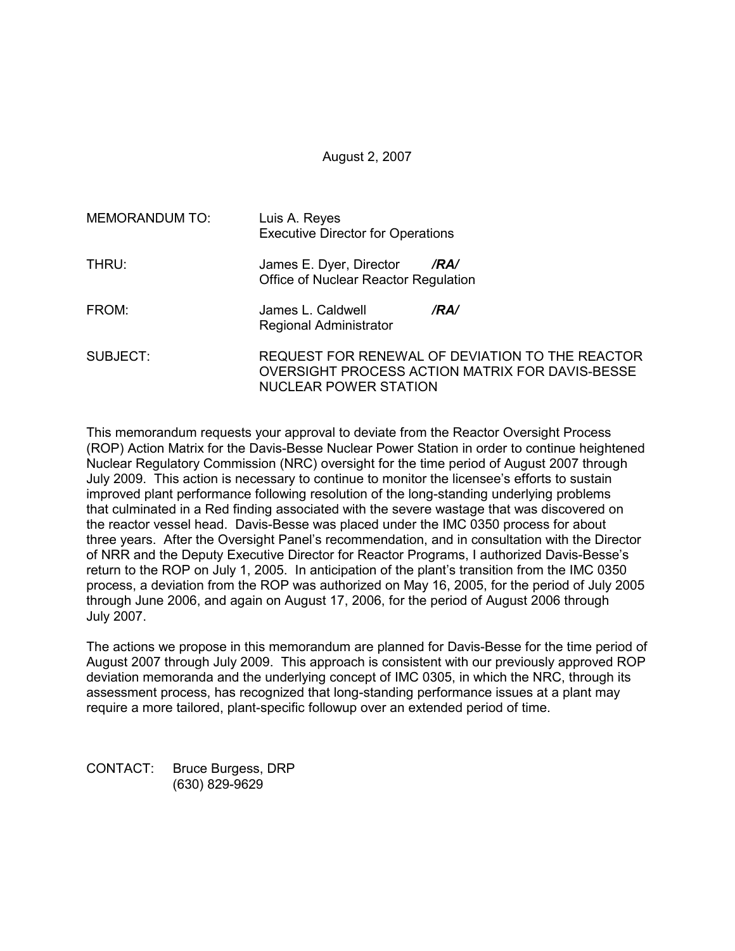# August 2, 2007

| <b>MEMORANDUM TO:</b> | Luis A. Reyes<br><b>Executive Director for Operations</b>                                                                   |  |  |  |  |  |  |  |
|-----------------------|-----------------------------------------------------------------------------------------------------------------------------|--|--|--|--|--|--|--|
| THRU:                 | James E. Dyer, Director<br>/RA/<br>Office of Nuclear Reactor Regulation                                                     |  |  |  |  |  |  |  |
| FROM:                 | James L. Caldwell<br>/RA/<br>Regional Administrator                                                                         |  |  |  |  |  |  |  |
| SUBJECT:              | REQUEST FOR RENEWAL OF DEVIATION TO THE REACTOR<br>OVERSIGHT PROCESS ACTION MATRIX FOR DAVIS-BESSE<br>NUCLEAR POWER STATION |  |  |  |  |  |  |  |

This memorandum requests your approval to deviate from the Reactor Oversight Process (ROP) Action Matrix for the Davis-Besse Nuclear Power Station in order to continue heightened Nuclear Regulatory Commission (NRC) oversight for the time period of August 2007 through July 2009. This action is necessary to continue to monitor the licensee's efforts to sustain improved plant performance following resolution of the long-standing underlying problems that culminated in a Red finding associated with the severe wastage that was discovered on the reactor vessel head. Davis-Besse was placed under the IMC 0350 process for about three years. After the Oversight Panel's recommendation, and in consultation with the Director of NRR and the Deputy Executive Director for Reactor Programs, I authorized Davis-Besse's return to the ROP on July 1, 2005. In anticipation of the plant's transition from the IMC 0350 process, a deviation from the ROP was authorized on May 16, 2005, for the period of July 2005 through June 2006, and again on August 17, 2006, for the period of August 2006 through July 2007.

The actions we propose in this memorandum are planned for Davis-Besse for the time period of August 2007 through July 2009. This approach is consistent with our previously approved ROP deviation memoranda and the underlying concept of IMC 0305, in which the NRC, through its assessment process, has recognized that long-standing performance issues at a plant may require a more tailored, plant-specific followup over an extended period of time.

CONTACT: Bruce Burgess, DRP (630) 829-9629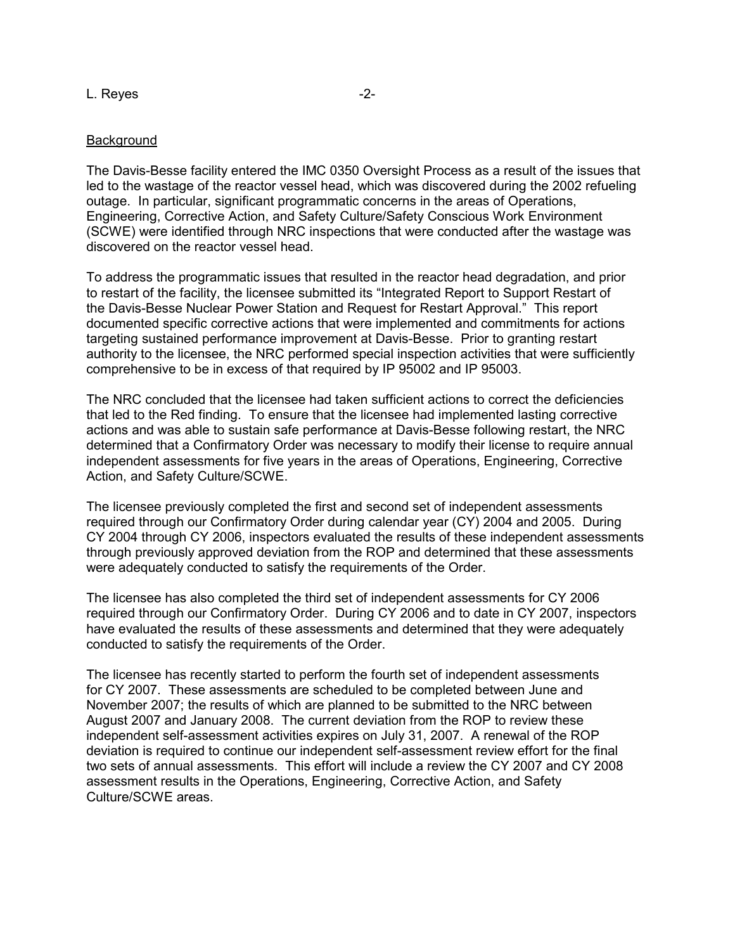#### L. Reyes  $-2$ -

#### Background

The Davis-Besse facility entered the IMC 0350 Oversight Process as a result of the issues that led to the wastage of the reactor vessel head, which was discovered during the 2002 refueling outage. In particular, significant programmatic concerns in the areas of Operations, Engineering, Corrective Action, and Safety Culture/Safety Conscious Work Environment (SCWE) were identified through NRC inspections that were conducted after the wastage was discovered on the reactor vessel head.

To address the programmatic issues that resulted in the reactor head degradation, and prior to restart of the facility, the licensee submitted its "Integrated Report to Support Restart of the Davis-Besse Nuclear Power Station and Request for Restart Approval." This report documented specific corrective actions that were implemented and commitments for actions targeting sustained performance improvement at Davis-Besse. Prior to granting restart authority to the licensee, the NRC performed special inspection activities that were sufficiently comprehensive to be in excess of that required by IP 95002 and IP 95003.

The NRC concluded that the licensee had taken sufficient actions to correct the deficiencies that led to the Red finding. To ensure that the licensee had implemented lasting corrective actions and was able to sustain safe performance at Davis-Besse following restart, the NRC determined that a Confirmatory Order was necessary to modify their license to require annual independent assessments for five years in the areas of Operations, Engineering, Corrective Action, and Safety Culture/SCWE.

The licensee previously completed the first and second set of independent assessments required through our Confirmatory Order during calendar year (CY) 2004 and 2005. During CY 2004 through CY 2006, inspectors evaluated the results of these independent assessments through previously approved deviation from the ROP and determined that these assessments were adequately conducted to satisfy the requirements of the Order.

The licensee has also completed the third set of independent assessments for CY 2006 required through our Confirmatory Order. During CY 2006 and to date in CY 2007, inspectors have evaluated the results of these assessments and determined that they were adequately conducted to satisfy the requirements of the Order.

The licensee has recently started to perform the fourth set of independent assessments for CY 2007. These assessments are scheduled to be completed between June and November 2007; the results of which are planned to be submitted to the NRC between August 2007 and January 2008. The current deviation from the ROP to review these independent self-assessment activities expires on July 31, 2007. A renewal of the ROP deviation is required to continue our independent self-assessment review effort for the final two sets of annual assessments. This effort will include a review the CY 2007 and CY 2008 assessment results in the Operations, Engineering, Corrective Action, and Safety Culture/SCWE areas.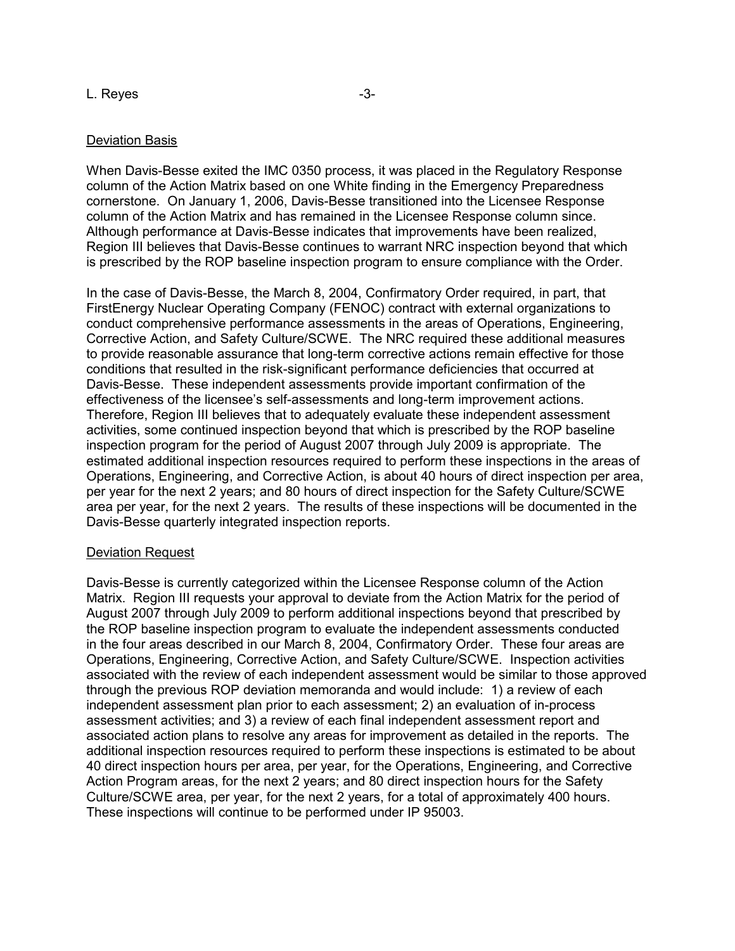#### L. Reyes  $-3$ -

## Deviation Basis

When Davis-Besse exited the IMC 0350 process, it was placed in the Regulatory Response column of the Action Matrix based on one White finding in the Emergency Preparedness cornerstone. On January 1, 2006, Davis-Besse transitioned into the Licensee Response column of the Action Matrix and has remained in the Licensee Response column since. Although performance at Davis-Besse indicates that improvements have been realized, Region III believes that Davis-Besse continues to warrant NRC inspection beyond that which is prescribed by the ROP baseline inspection program to ensure compliance with the Order.

In the case of Davis-Besse, the March 8, 2004, Confirmatory Order required, in part, that FirstEnergy Nuclear Operating Company (FENOC) contract with external organizations to conduct comprehensive performance assessments in the areas of Operations, Engineering, Corrective Action, and Safety Culture/SCWE. The NRC required these additional measures to provide reasonable assurance that long-term corrective actions remain effective for those conditions that resulted in the risk-significant performance deficiencies that occurred at Davis-Besse. These independent assessments provide important confirmation of the effectiveness of the licensee's self-assessments and long-term improvement actions. Therefore, Region III believes that to adequately evaluate these independent assessment activities, some continued inspection beyond that which is prescribed by the ROP baseline inspection program for the period of August 2007 through July 2009 is appropriate. The estimated additional inspection resources required to perform these inspections in the areas of Operations, Engineering, and Corrective Action, is about 40 hours of direct inspection per area, per year for the next 2 years; and 80 hours of direct inspection for the Safety Culture/SCWE area per year, for the next 2 years. The results of these inspections will be documented in the Davis-Besse quarterly integrated inspection reports.

## Deviation Request

Davis-Besse is currently categorized within the Licensee Response column of the Action Matrix. Region III requests your approval to deviate from the Action Matrix for the period of August 2007 through July 2009 to perform additional inspections beyond that prescribed by the ROP baseline inspection program to evaluate the independent assessments conducted in the four areas described in our March 8, 2004, Confirmatory Order. These four areas are Operations, Engineering, Corrective Action, and Safety Culture/SCWE. Inspection activities associated with the review of each independent assessment would be similar to those approved through the previous ROP deviation memoranda and would include: 1) a review of each independent assessment plan prior to each assessment; 2) an evaluation of in-process assessment activities; and 3) a review of each final independent assessment report and associated action plans to resolve any areas for improvement as detailed in the reports. The additional inspection resources required to perform these inspections is estimated to be about 40 direct inspection hours per area, per year, for the Operations, Engineering, and Corrective Action Program areas, for the next 2 years; and 80 direct inspection hours for the Safety Culture/SCWE area, per year, for the next 2 years, for a total of approximately 400 hours. These inspections will continue to be performed under IP 95003.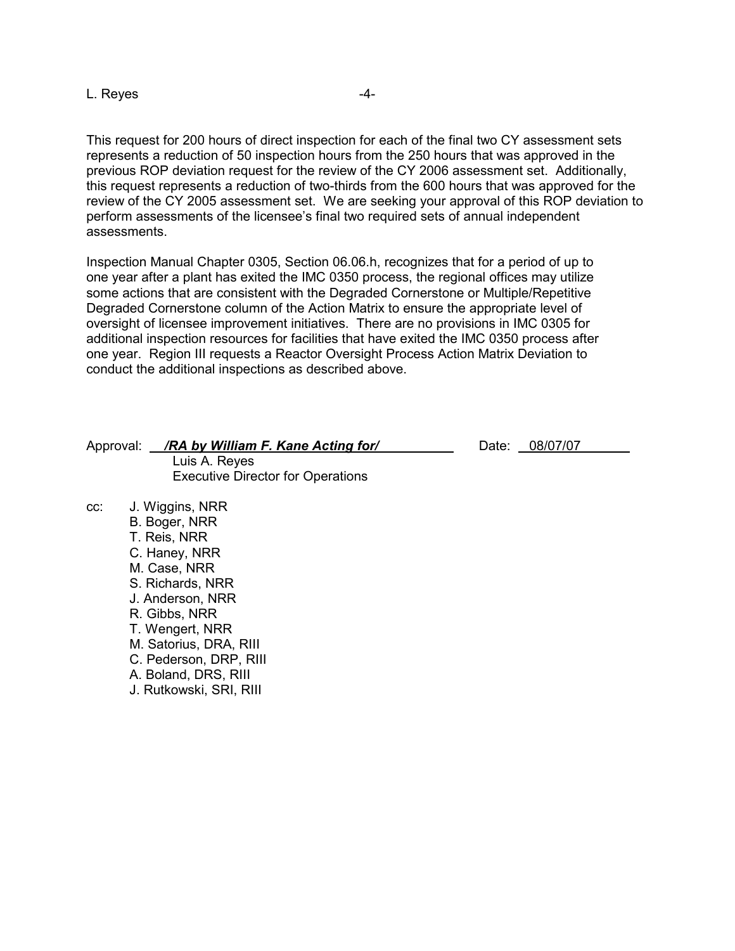L. Reyes and the set of the set of the set of the set of the set of the set of the set of the set of the set of the set of the set of the set of the set of the set of the set of the set of the set of the set of the set of

This request for 200 hours of direct inspection for each of the final two CY assessment sets represents a reduction of 50 inspection hours from the 250 hours that was approved in the previous ROP deviation request for the review of the CY 2006 assessment set. Additionally, this request represents a reduction of two-thirds from the 600 hours that was approved for the review of the CY 2005 assessment set. We are seeking your approval of this ROP deviation to perform assessments of the licensee's final two required sets of annual independent assessments.

Inspection Manual Chapter 0305, Section 06.06.h, recognizes that for a period of up to one year after a plant has exited the IMC 0350 process, the regional offices may utilize some actions that are consistent with the Degraded Cornerstone or Multiple/Repetitive Degraded Cornerstone column of the Action Matrix to ensure the appropriate level of oversight of licensee improvement initiatives. There are no provisions in IMC 0305 for additional inspection resources for facilities that have exited the IMC 0350 process after one year. Region III requests a Reactor Oversight Process Action Matrix Deviation to conduct the additional inspections as described above.

## Approval: */RA by William F. Kane Acting for/* **Date: 08/07/07** Luis A. Reyes Executive Director for Operations

cc: J. Wiggins, NRR B. Boger, NRR T. Reis, NRR C. Haney, NRR M. Case, NRR S. Richards, NRR J. Anderson, NRR R. Gibbs, NRR T. Wengert, NRR M. Satorius, DRA, RIII C. Pederson, DRP, RIII A. Boland, DRS, RIII J. Rutkowski, SRI, RIII